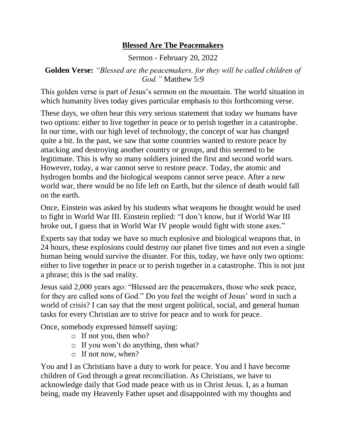## **Blessed Are The Peacemakers**

Sermon - February 20, 2022

## **Golden Verse:** *"Blessed are the peacemakers, for they will be called children of God."* Matthew 5:9

This golden verse is part of Jesus's sermon on the mountain. The world situation in which humanity lives today gives particular emphasis to this forthcoming verse.

These days, we often hear this very serious statement that today we humans have two options: either to live together in peace or to perish together in a catastrophe. In our time, with our high level of technology, the concept of war has changed quite a bit. In the past, we saw that some countries wanted to restore peace by attacking and destroying another country or groups, and this seemed to be legitimate. This is why so many soldiers joined the first and second world wars. However, today, a war cannot serve to restore peace. Today, the atomic and hydrogen bombs and the biological weapons cannot serve peace. After a new world war, there would be no life left on Earth, but the silence of death would fall on the earth.

Once, Einstein was asked by his students what weapons he thought would be used to fight in World War III. Einstein replied: "I don't know, but if World War III broke out, I guess that in World War IV people would fight with stone axes."

Experts say that today we have so much explosive and biological weapons that, in 24 hours, these explosions could destroy our planet five times and not even a single human being would survive the disaster. For this, today, we have only two options: either to live together in peace or to perish together in a catastrophe. This is not just a phrase; this is the sad reality.

Jesus said 2,000 years ago: "Blessed are the peacemakers, those who seek peace, for they are called sons of God." Do you feel the weight of Jesus' word in such a world of crisis? I can say that the most urgent political, social, and general human tasks for every Christian are to strive for peace and to work for peace.

Once, somebody expressed himself saying:

- o If not you, then who?
- o If you won't do anything, then what?
- o If not now, when?

You and I as Christians have a duty to work for peace. You and I have become children of God through a great reconciliation. As Christians, we have to acknowledge daily that God made peace with us in Christ Jesus. I, as a human being, made my Heavenly Father upset and disappointed with my thoughts and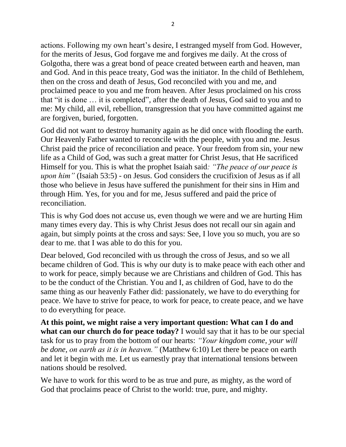actions. Following my own heart's desire, I estranged myself from God. However, for the merits of Jesus, God forgave me and forgives me daily. At the cross of Golgotha, there was a great bond of peace created between earth and heaven, man and God. And in this peace treaty, God was the initiator. In the child of Bethlehem, then on the cross and death of Jesus, God reconciled with you and me, and proclaimed peace to you and me from heaven. After Jesus proclaimed on his cross that "it is done … it is completed", after the death of Jesus, God said to you and to me: My child, all evil, rebellion, transgression that you have committed against me are forgiven, buried, forgotten.

God did not want to destroy humanity again as he did once with flooding the earth. Our Heavenly Father wanted to reconcile with the people, with you and me. Jesus Christ paid the price of reconciliation and peace. Your freedom from sin, your new life as a Child of God, was such a great matter for Christ Jesus, that He sacrificed Himself for you. This is what the prophet Isaiah said*: "The peace of our peace is upon him"* (Isaiah 53:5) - on Jesus. God considers the crucifixion of Jesus as if all those who believe in Jesus have suffered the punishment for their sins in Him and through Him. Yes, for you and for me, Jesus suffered and paid the price of reconciliation.

This is why God does not accuse us, even though we were and we are hurting Him many times every day. This is why Christ Jesus does not recall our sin again and again, but simply points at the cross and says: See, I love you so much, you are so dear to me. that I was able to do this for you.

Dear beloved, God reconciled with us through the cross of Jesus, and so we all became children of God. This is why our duty is to make peace with each other and to work for peace, simply because we are Christians and children of God. This has to be the conduct of the Christian. You and I, as children of God, have to do the same thing as our heavenly Father did: passionately, we have to do everything for peace. We have to strive for peace, to work for peace, to create peace, and we have to do everything for peace.

**At this point, we might raise a very important question: What can I do and what can our church do for peace today?** I would say that it has to be our special task for us to pray from the bottom of our hearts: *"Your kingdom come, your will be done, on earth as it is in heaven."* (Matthew 6:10) Let there be peace on earth and let it begin with me. Let us earnestly pray that international tensions between nations should be resolved.

We have to work for this word to be as true and pure, as mighty, as the word of God that proclaims peace of Christ to the world: true, pure, and mighty.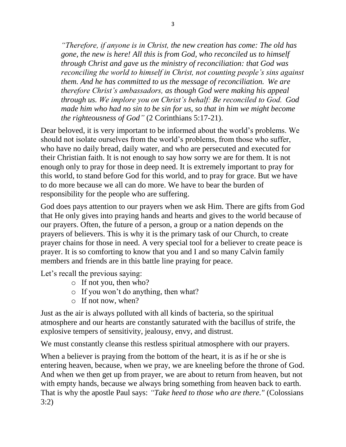*"Therefore, if anyone is in Christ, the new creation has come: The old has gone, the new is here! All this is from God, who reconciled us to himself through Christ and gave us the ministry of reconciliation: that God was reconciling the world to himself in Christ, not counting people's sins against them. And he has committed to us the message of reconciliation. We are therefore Christ's ambassadors, as though God were making his appeal through us. We implore you on Christ's behalf: Be reconciled to God. God made him who had no sin to be sin for us, so that in him we might become the righteousness of God"* (2 Corinthians 5:17-21).

Dear beloved, it is very important to be informed about the world's problems. We should not isolate ourselves from the world's problems, from those who suffer, who have no daily bread, daily water, and who are persecuted and executed for their Christian faith. It is not enough to say how sorry we are for them. It is not enough only to pray for those in deep need. It is extremely important to pray for this world, to stand before God for this world, and to pray for grace. But we have to do more because we all can do more. We have to bear the burden of responsibility for the people who are suffering.

God does pays attention to our prayers when we ask Him. There are gifts from God that He only gives into praying hands and hearts and gives to the world because of our prayers. Often, the future of a person, a group or a nation depends on the prayers of believers. This is why it is the primary task of our Church, to create prayer chains for those in need. A very special tool for a believer to create peace is prayer. It is so comforting to know that you and I and so many Calvin family members and friends are in this battle line praying for peace.

Let's recall the previous saying:

- o If not you, then who?
- o If you won't do anything, then what?
- o If not now, when?

Just as the air is always polluted with all kinds of bacteria, so the spiritual atmosphere and our hearts are constantly saturated with the bacillus of strife, the explosive tempers of sensitivity, jealousy, envy, and distrust.

We must constantly cleanse this restless spiritual atmosphere with our prayers.

When a believer is praying from the bottom of the heart, it is as if he or she is entering heaven, because, when we pray, we are kneeling before the throne of God. And when we then get up from prayer, we are about to return from heaven, but not with empty hands, because we always bring something from heaven back to earth. That is why the apostle Paul says: *"Take heed to those who are there."* (Colossians 3:2)